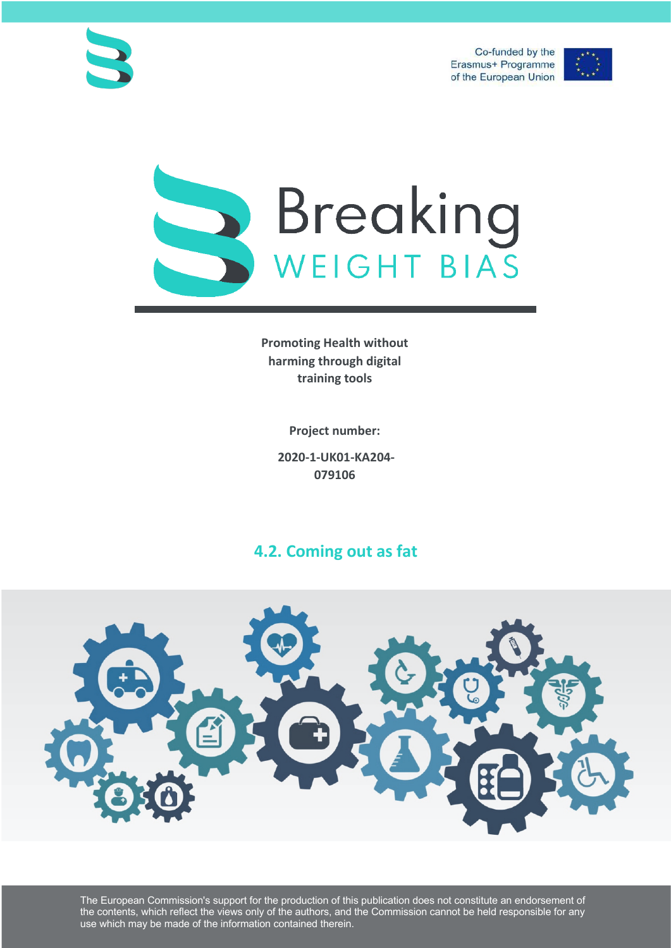Co-funded by the Erasmus+ Programme of the European Union







**Promoting Health without harming through digital training tools**

**Project number:**

**2020-1-UK01-KA204- 079106**

# **4.2. Coming out as fat**



The European Commission's support for the production of this publication does not constitute an endorsement of the contents, which reflect the views only of the authors, and the Commission cannot be held responsible for any use which may be made of the information contained therein.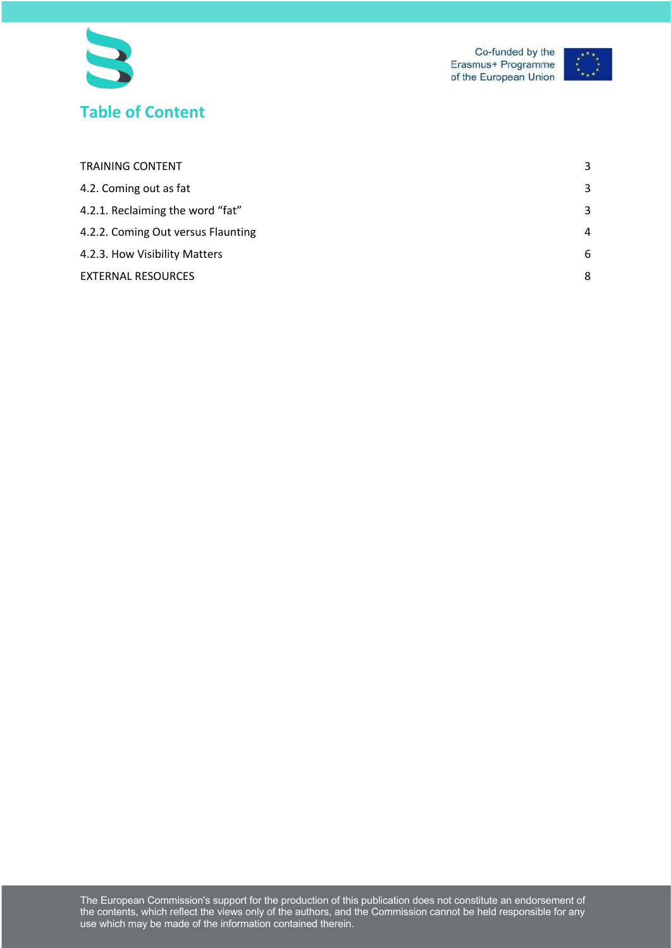



| <b>TRAINING CONTENT</b>            | 3 |
|------------------------------------|---|
| 4.2. Coming out as fat             | 3 |
| 4.2.1. Reclaiming the word "fat"   | 3 |
| 4.2.2. Coming Out versus Flaunting | 4 |
| 4.2.3. How Visibility Matters      | 6 |
| <b>EXTERNAL RESOURCES</b>          | 8 |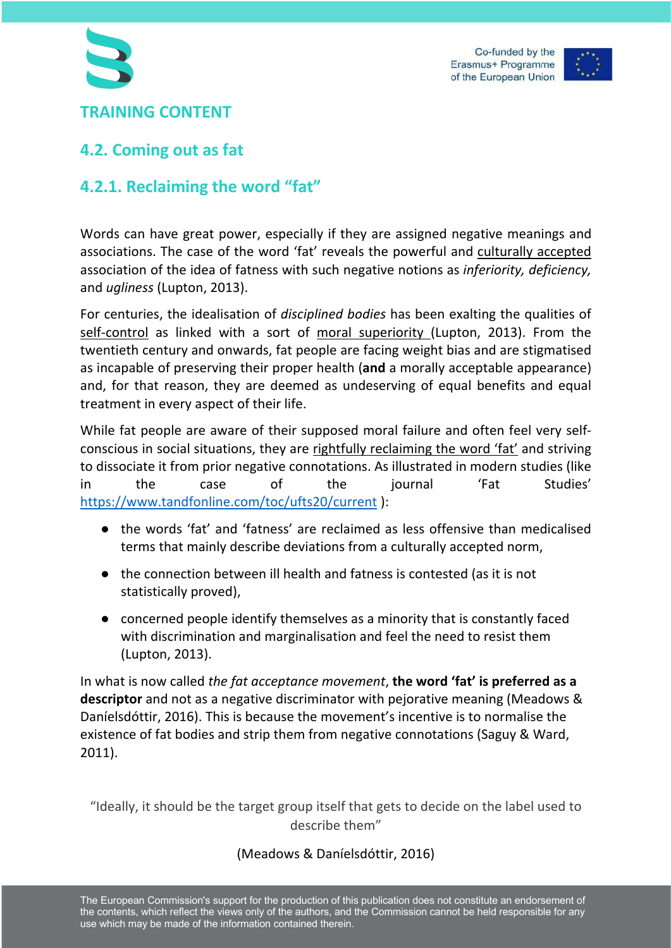



## **TRAINING CONTENT**

## **4.2. Coming out as fat**

## **4.2.1. Reclaiming the word "fat"**

Words can have great power, especially if they are assigned negative meanings and associations. The case of the word 'fat' reveals the powerful and culturally accepted association of the idea of fatness with such negative notions as *inferiority, deficiency,*  and *ugliness* (Lupton, 2013).

For centuries, the idealisation of *disciplined bodies* has been exalting the qualities of self-control as linked with a sort of moral superiority (Lupton, 2013). From the twentieth century and onwards, fat people are facing weight bias and are stigmatised as incapable of preserving their proper health (**and** a morally acceptable appearance) and, for that reason, they are deemed as undeserving of equal benefits and equal treatment in every aspect of their life.

While fat people are aware of their supposed moral failure and often feel very selfconscious in social situations, they are rightfully reclaiming the word 'fat' and striving to dissociate it from prior negative connotations. As illustrated in modern studies (like in the case of the journal 'Fat Studies' https://www.tandfonline.com/toc/ufts20/current ):

- the words 'fat' and 'fatness' are reclaimed as less offensive than medicalised terms that mainly describe deviations from a culturally accepted norm,
- the connection between ill health and fatness is contested (as it is not statistically proved),
- concerned people identify themselves as a minority that is constantly faced with discrimination and marginalisation and feel the need to resist them (Lupton, 2013).

In what is now called *the fat acceptance movement*, **the word 'fat' is preferred as a descriptor** and not as a negative discriminator with pejorative meaning (Meadows & Daníelsdóttir, 2016). This is because the movement's incentive is to normalise the existence of fat bodies and strip them from negative connotations (Saguy & Ward, 2011).

"Ideally, it should be the target group itself that gets to decide on the label used to describe them"

#### (Meadows & Daníelsdóttir, 2016)

The European Commission's support for the production of this publication does not constitute an endorsement of the contents, which reflect the views only of the authors, and the Commission cannot be held responsible for any use which may be made of the information contained therein.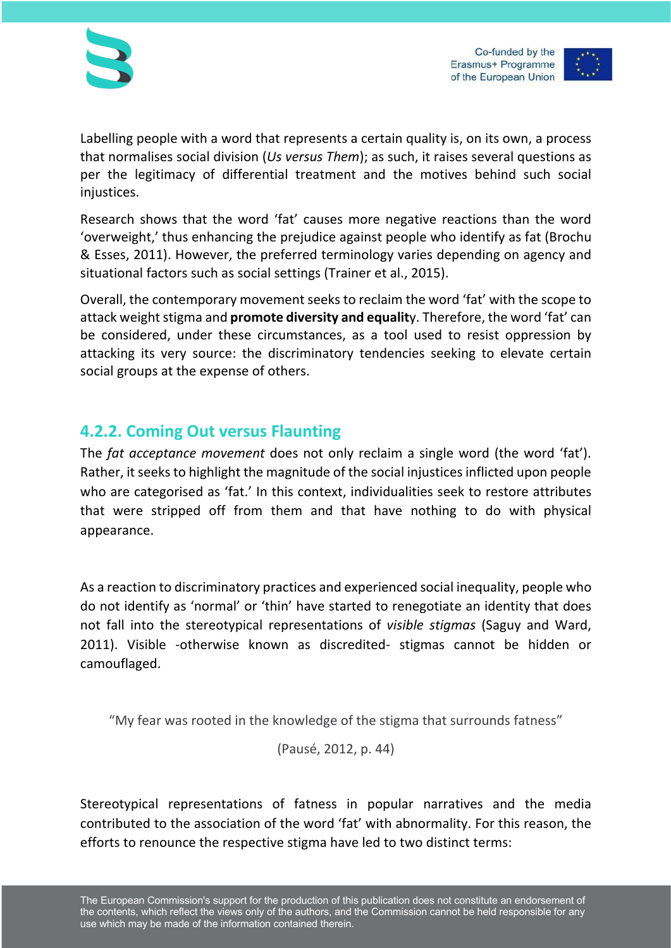

Labelling people with a word that represents a certain quality is, on its own, a process that normalises social division (*Us versus Them*); as such, it raises several questions as per the legitimacy of differential treatment and the motives behind such social iniustices.

Research shows that the word 'fat' causes more negative reactions than the word 'overweight,' thus enhancing the prejudice against people who identify as fat (Brochu & Esses, 2011). However, the preferred terminology varies depending on agency and situational factors such as social settings (Trainer et al., 2015).

Overall, the contemporary movement seeks to reclaim the word 'fat' with the scope to attack weight stigma and **promote diversity and equalit**y. Therefore, the word 'fat' can be considered, under these circumstances, as a tool used to resist oppression by attacking its very source: the discriminatory tendencies seeking to elevate certain social groups at the expense of others.

### **4.2.2. Coming Out versus Flaunting**

The *fat acceptance movement* does not only reclaim a single word (the word 'fat'). Rather, it seeks to highlight the magnitude of the social injustices inflicted upon people who are categorised as 'fat.' In this context, individualities seek to restore attributes that were stripped off from them and that have nothing to do with physical appearance.

As a reaction to discriminatory practices and experienced social inequality, people who do not identify as 'normal' or 'thin' have started to renegotiate an identity that does not fall into the stereotypical representations of *visible stigmas* (Saguy and Ward, 2011). Visible -otherwise known as discredited- stigmas cannot be hidden or camouflaged.

"My fear was rooted in the knowledge of the stigma that surrounds fatness"

(Pausé, 2012, p. 44)

Stereotypical representations of fatness in popular narratives and the media contributed to the association of the word 'fat' with abnormality. For this reason, the efforts to renounce the respective stigma have led to two distinct terms: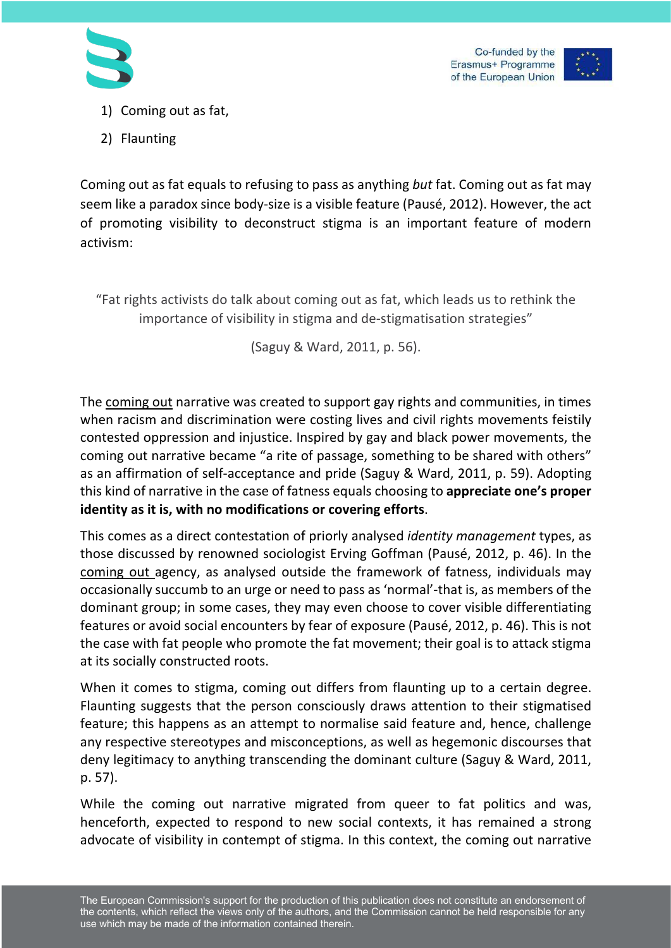



- 1) Coming out as fat,
- 2) Flaunting

Coming out as fat equals to refusing to pass as anything *but* fat. Coming out as fat may seem like a paradox since body-size is a visible feature (Pausé, 2012). However, the act of promoting visibility to deconstruct stigma is an important feature of modern activism:

"Fat rights activists do talk about coming out as fat, which leads us to rethink the importance of visibility in stigma and de-stigmatisation strategies"

(Saguy & Ward, 2011, p. 56).

The coming out narrative was created to support gay rights and communities, in times when racism and discrimination were costing lives and civil rights movements feistily contested oppression and injustice. Inspired by gay and black power movements, the coming out narrative became "a rite of passage, something to be shared with others" as an affirmation of self-acceptance and pride (Saguy & Ward, 2011, p. 59). Adopting this kind of narrative in the case of fatness equals choosing to **appreciate one's proper identity as it is, with no modifications or covering efforts**.

This comes as a direct contestation of priorly analysed *identity management* types, as those discussed by renowned sociologist Erving Goffman (Pausé, 2012, p. 46). In the coming out agency, as analysed outside the framework of fatness, individuals may occasionally succumb to an urge or need to pass as 'normal'-that is, as members of the dominant group; in some cases, they may even choose to cover visible differentiating features or avoid social encounters by fear of exposure (Pausé, 2012, p. 46). This is not the case with fat people who promote the fat movement; their goal is to attack stigma at its socially constructed roots.

When it comes to stigma, coming out differs from flaunting up to a certain degree. Flaunting suggests that the person consciously draws attention to their stigmatised feature; this happens as an attempt to normalise said feature and, hence, challenge any respective stereotypes and misconceptions, as well as hegemonic discourses that deny legitimacy to anything transcending the dominant culture (Saguy & Ward, 2011, p. 57).

While the coming out narrative migrated from queer to fat politics and was, henceforth, expected to respond to new social contexts, it has remained a strong advocate of visibility in contempt of stigma. In this context, the coming out narrative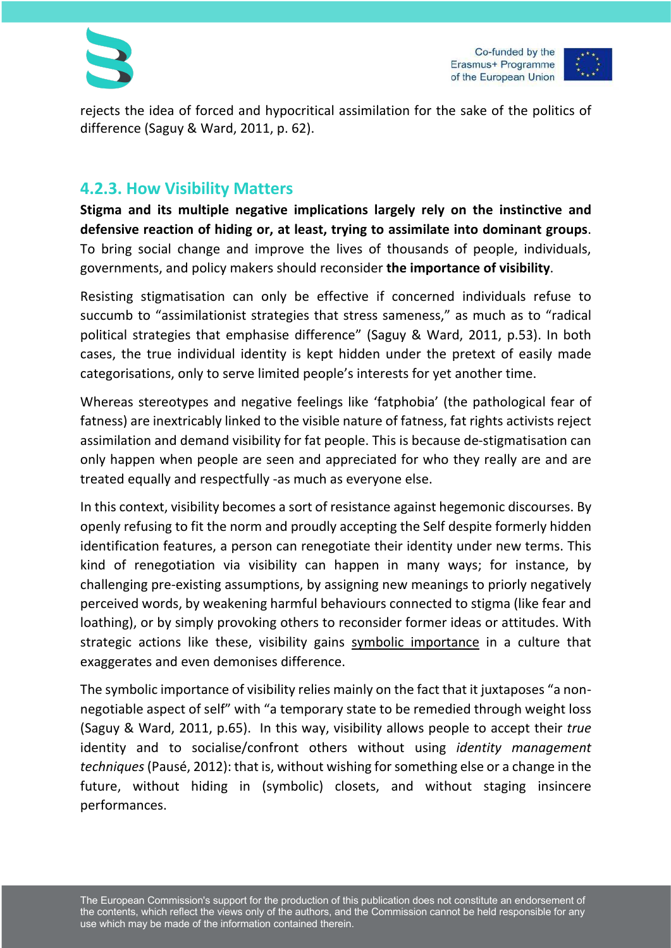

rejects the idea of forced and hypocritical assimilation for the sake of the politics of difference (Saguy & Ward, 2011, p. 62).

### **4.2.3. How Visibility Matters**

**Stigma and its multiple negative implications largely rely on the instinctive and defensive reaction of hiding or, at least, trying to assimilate into dominant groups**. To bring social change and improve the lives of thousands of people, individuals, governments, and policy makers should reconsider **the importance of visibility**.

Resisting stigmatisation can only be effective if concerned individuals refuse to succumb to "assimilationist strategies that stress sameness," as much as to "radical political strategies that emphasise difference" (Saguy & Ward, 2011, p.53). In both cases, the true individual identity is kept hidden under the pretext of easily made categorisations, only to serve limited people's interests for yet another time.

Whereas stereotypes and negative feelings like 'fatphobia' (the pathological fear of fatness) are inextricably linked to the visible nature of fatness, fat rights activists reject assimilation and demand visibility for fat people. This is because de-stigmatisation can only happen when people are seen and appreciated for who they really are and are treated equally and respectfully -as much as everyone else.

In this context, visibility becomes a sort of resistance against hegemonic discourses. By openly refusing to fit the norm and proudly accepting the Self despite formerly hidden identification features, a person can renegotiate their identity under new terms. This kind of renegotiation via visibility can happen in many ways; for instance, by challenging pre-existing assumptions, by assigning new meanings to priorly negatively perceived words, by weakening harmful behaviours connected to stigma (like fear and loathing), or by simply provoking others to reconsider former ideas or attitudes. With strategic actions like these, visibility gains symbolic importance in a culture that exaggerates and even demonises difference.

The symbolic importance of visibility relies mainly on the fact that it juxtaposes "a nonnegotiable aspect of self" with "a temporary state to be remedied through weight loss (Saguy & Ward, 2011, p.65). In this way, visibility allows people to accept their *true* identity and to socialise/confront others without using *identity management techniques*(Pausé, 2012): that is, without wishing for something else or a change in the future, without hiding in (symbolic) closets, and without staging insincere performances.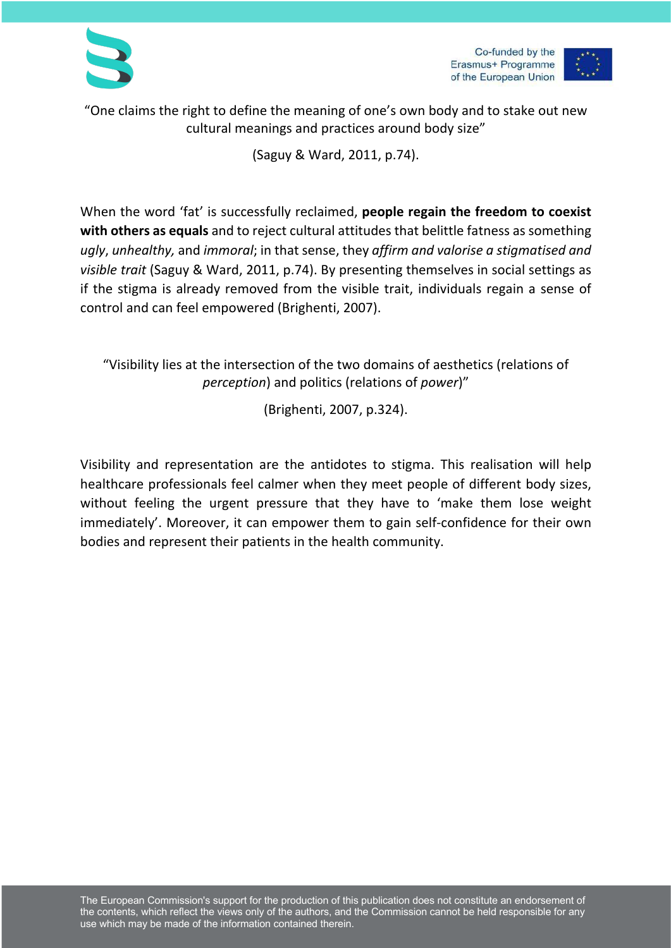



"One claims the right to define the meaning of one's own body and to stake out new cultural meanings and practices around body size"

(Saguy & Ward, 2011, p.74).

When the word 'fat' is successfully reclaimed, **people regain the freedom to coexist with others as equals** and to reject cultural attitudes that belittle fatness as something *ugly*, *unhealthy,* and *immoral*; in that sense, they *affirm and valorise a stigmatised and visible trait* (Saguy & Ward, 2011, p.74). By presenting themselves in social settings as if the stigma is already removed from the visible trait, individuals regain a sense of control and can feel empowered (Brighenti, 2007).

"Visibility lies at the intersection of the two domains of aesthetics (relations of *perception*) and politics (relations of *power*)"

(Brighenti, 2007, p.324).

Visibility and representation are the antidotes to stigma. This realisation will help healthcare professionals feel calmer when they meet people of different body sizes, without feeling the urgent pressure that they have to 'make them lose weight immediately'. Moreover, it can empower them to gain self-confidence for their own bodies and represent their patients in the health community.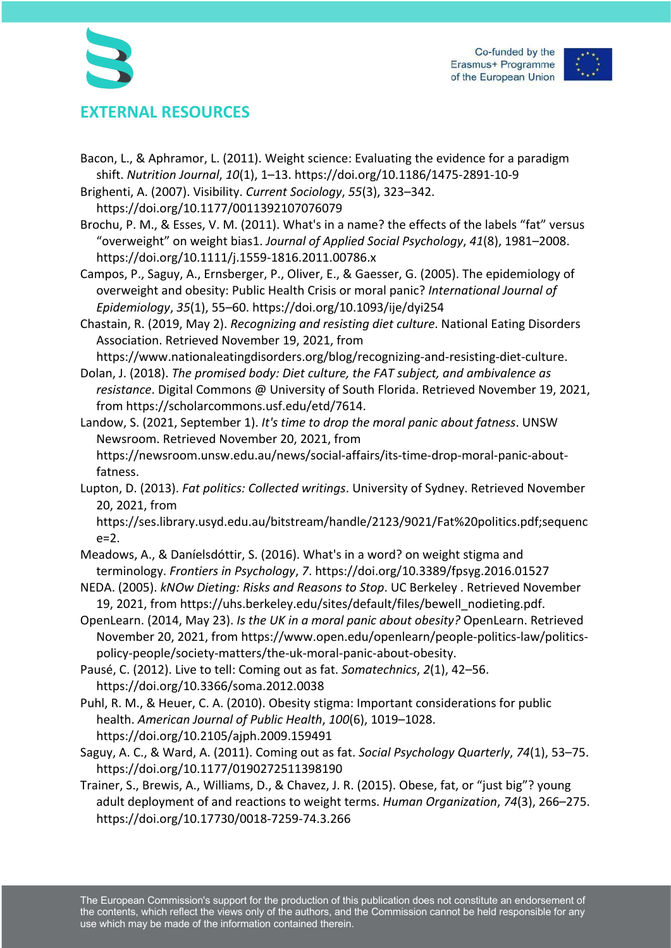



# **EXTERNAL RESOURCES**

- Bacon, L., & Aphramor, L. (2011). Weight science: Evaluating the evidence for a paradigm shift. *Nutrition Journal*, *10*(1), 1–13. https://doi.org/10.1186/1475-2891-10-9
- Brighenti, A. (2007). Visibility. *Current Sociology*, *55*(3), 323–342. https://doi.org/10.1177/0011392107076079
- Brochu, P. M., & Esses, V. M. (2011). What's in a name? the effects of the labels "fat" versus "overweight" on weight bias1. *Journal of Applied Social Psychology*, *41*(8), 1981–2008. https://doi.org/10.1111/j.1559-1816.2011.00786.x
- Campos, P., Saguy, A., Ernsberger, P., Oliver, E., & Gaesser, G. (2005). The epidemiology of overweight and obesity: Public Health Crisis or moral panic? *International Journal of Epidemiology*, *35*(1), 55–60. https://doi.org/10.1093/ije/dyi254
- Chastain, R. (2019, May 2). *Recognizing and resisting diet culture*. National Eating Disorders Association. Retrieved November 19, 2021, from
- https://www.nationaleatingdisorders.org/blog/recognizing-and-resisting-diet-culture. Dolan, J. (2018). *The promised body: Diet culture, the FAT subject, and ambivalence as*
- *resistance*. Digital Commons @ University of South Florida. Retrieved November 19, 2021, from https://scholarcommons.usf.edu/etd/7614.
- Landow, S. (2021, September 1). *It's time to drop the moral panic about fatness*. UNSW Newsroom. Retrieved November 20, 2021, from https://newsroom.unsw.edu.au/news/social-affairs/its-time-drop-moral-panic-aboutfatness.
- Lupton, D. (2013). *Fat politics: Collected writings*. University of Sydney. Retrieved November 20, 2021, from

https://ses.library.usyd.edu.au/bitstream/handle/2123/9021/Fat%20politics.pdf;sequenc e=2.

- Meadows, A., & Daníelsdóttir, S. (2016). What's in a word? on weight stigma and terminology. *Frontiers in Psychology*, *7*. https://doi.org/10.3389/fpsyg.2016.01527
- NEDA. (2005). *kNOw Dieting: Risks and Reasons to Stop*. UC Berkeley . Retrieved November 19, 2021, from https://uhs.berkeley.edu/sites/default/files/bewell\_nodieting.pdf.
- OpenLearn. (2014, May 23). *Is the UK in a moral panic about obesity?* OpenLearn. Retrieved November 20, 2021, from https://www.open.edu/openlearn/people-politics-law/politicspolicy-people/society-matters/the-uk-moral-panic-about-obesity.
- Pausé, C. (2012). Live to tell: Coming out as fat. *Somatechnics*, *2*(1), 42–56. https://doi.org/10.3366/soma.2012.0038
- Puhl, R. M., & Heuer, C. A. (2010). Obesity stigma: Important considerations for public health. *American Journal of Public Health*, *100*(6), 1019–1028. https://doi.org/10.2105/ajph.2009.159491
- Saguy, A. C., & Ward, A. (2011). Coming out as fat. *Social Psychology Quarterly*, *74*(1), 53–75. https://doi.org/10.1177/0190272511398190
- Trainer, S., Brewis, A., Williams, D., & Chavez, J. R. (2015). Obese, fat, or "just big"? young adult deployment of and reactions to weight terms. *Human Organization*, *74*(3), 266–275. https://doi.org/10.17730/0018-7259-74.3.266